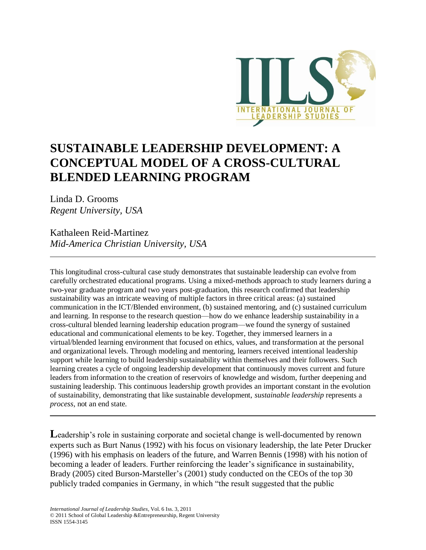

# **SUSTAINABLE LEADERSHIP DEVELOPMENT: A CONCEPTUAL MODEL OF A CROSS-CULTURAL BLENDED LEARNING PROGRAM**

Linda D. Grooms *Regent University, USA*

Kathaleen Reid-Martinez *Mid-America Christian University, USA*

This longitudinal cross-cultural case study demonstrates that sustainable leadership can evolve from carefully orchestrated educational programs. Using a mixed-methods approach to study learners during a two-year graduate program and two years post-graduation, this research confirmed that leadership sustainability was an intricate weaving of multiple factors in three critical areas: (a) sustained communication in the ICT/Blended environment, (b) sustained mentoring, and (c) sustained curriculum and learning. In response to the research question—how do we enhance leadership sustainability in a cross-cultural blended learning leadership education program—we found the synergy of sustained educational and communicational elements to be key. Together, they immersed learners in a virtual/blended learning environment that focused on ethics, values, and transformation at the personal and organizational levels. Through modeling and mentoring, learners received intentional leadership support while learning to build leadership sustainability within themselves and their followers. Such learning creates a cycle of ongoing leadership development that continuously moves current and future leaders from information to the creation of reservoirs of knowledge and wisdom, further deepening and sustaining leadership. This continuous leadership growth provides an important constant in the evolution of sustainability, demonstrating that like sustainable development, *sustainable leadership* represents a *process*, not an end state.

Leadership's role in sustaining corporate and societal change is well-documented by renown experts such as Burt Nanus (1992) with his focus on visionary leadership, the late Peter Drucker (1996) with his emphasis on leaders of the future, and Warren Bennis (1998) with his notion of becoming a leader of leaders. Further reinforcing the leader's significance in sustainability, Brady (2005) cited Burson-Marsteller's (2001) study conducted on the CEOs of the top 30 publicly traded companies in Germany, in which "the result suggested that the public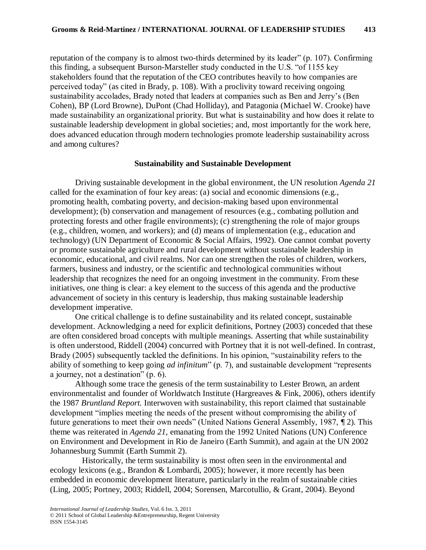reputation of the company is to almost two-thirds determined by its leader" (p. 107). Confirming this finding, a subsequent Burson-Marsteller study conducted in the U.S. "of 1155 key stakeholders found that the reputation of the CEO contributes heavily to how companies are perceived today" (as cited in Brady, p. 108). With a proclivity toward receiving ongoing sustainability accolades, Brady noted that leaders at companies such as Ben and Jerry"s (Ben Cohen), BP (Lord Browne), DuPont (Chad Holliday), and Patagonia (Michael W. Crooke) have made sustainability an organizational priority. But what is sustainability and how does it relate to sustainable leadership development in global societies; and, most importantly for the work here, does advanced education through modern technologies promote leadership sustainability across and among cultures?

#### **Sustainability and Sustainable Development**

Driving sustainable development in the global environment, the UN resolution *Agenda 21*  called for the examination of four key areas: (a) social and economic dimensions (e.g., promoting health, combating poverty, and decision-making based upon environmental development); (b) conservation and management of resources (e.g., combating pollution and protecting forests and other fragile environments); (c) strengthening the role of major groups (e.g., children, women, and workers); and (d) means of implementation (e.g., education and technology) (UN Department of Economic & Social Affairs, 1992). One cannot combat poverty or promote sustainable agriculture and rural development without sustainable leadership in economic, educational, and civil realms. Nor can one strengthen the roles of children, workers, farmers, business and industry, or the scientific and technological communities without leadership that recognizes the need for an ongoing investment in the community. From these initiatives, one thing is clear: a key element to the success of this agenda and the productive advancement of society in this century is leadership, thus making sustainable leadership development imperative.

One critical challenge is to define sustainability and its related concept, sustainable development. Acknowledging a need for explicit definitions, Portney (2003) conceded that these are often considered broad concepts with multiple meanings. Asserting that while sustainability is often understood, Riddell (2004) concurred with Portney that it is not well-defined. In contrast, Brady (2005) subsequently tackled the definitions. In his opinion, "sustainability refers to the ability of something to keep going *ad infinitum*" (p. 7), and sustainable development "represents a journey, not a destination" (p. 6).

Although some trace the genesis of the term sustainability to Lester Brown, an ardent environmentalist and founder of Worldwatch Institute (Hargreaves & Fink, 2006), others identify the 1987 *Bruntland Report.* Interwoven with sustainability, this report claimed that sustainable development "implies meeting the needs of the present without compromising the ability of future generations to meet their own needs" (United Nations General Assembly, 1987, ¶ 2). This theme was reiterated in *Agenda 21,* emanating from the 1992 United Nations (UN) Conference on Environment and Development in Rio de Janeiro (Earth Summit), and again at the UN 2002 Johannesburg Summit (Earth Summit 2).

Historically, the term sustainability is most often seen in the environmental and ecology lexicons (e.g., Brandon & Lombardi, 2005); however, it more recently has been embedded in economic development literature, particularly in the realm of sustainable cities (Ling, 2005; Portney, 2003; Riddell, 2004; Sorensen, Marcotullio, & Grant, 2004). Beyond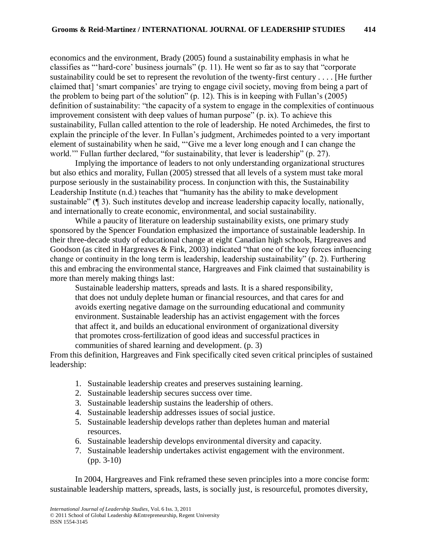economics and the environment, Brady (2005) found a sustainability emphasis in what he classifies as ""hard-core" business journals" (p. 11). He went so far as to say that "corporate sustainability could be set to represent the revolution of the twenty-first century . . . . [He further claimed that] "smart companies" are trying to engage civil society, moving from being a part of the problem to being part of the solution" (p. 12). This is in keeping with Fullan"s (2005) definition of sustainability: "the capacity of a system to engage in the complexities of continuous improvement consistent with deep values of human purpose" (p. ix). To achieve this sustainability, Fullan called attention to the role of leadership. He noted Archimedes, the first to explain the principle of the lever. In Fullan"s judgment, Archimedes pointed to a very important element of sustainability when he said, ""Give me a lever long enough and I can change the world."" Fullan further declared, "for sustainability, that lever is leadership" (p. 27).

Implying the importance of leaders to not only understanding organizational structures but also ethics and morality, Fullan (2005) stressed that all levels of a system must take moral purpose seriously in the sustainability process. In conjunction with this, the Sustainability Leadership Institute (n.d.) teaches that "humanity has the ability to make development sustainable" (¶ 3). Such institutes develop and increase leadership capacity locally, nationally, and internationally to create economic, environmental, and social sustainability.

While a paucity of literature on leadership sustainability exists, one primary study sponsored by the Spencer Foundation emphasized the importance of sustainable leadership. In their three-decade study of educational change at eight Canadian high schools, Hargreaves and Goodson (as cited in Hargreaves & Fink, 2003) indicated "that one of the key forces influencing change or continuity in the long term is leadership, leadership sustainability" (p. 2). Furthering this and embracing the environmental stance, Hargreaves and Fink claimed that sustainability is more than merely making things last:

Sustainable leadership matters, spreads and lasts. It is a shared responsibility, that does not unduly deplete human or financial resources, and that cares for and avoids exerting negative damage on the surrounding educational and community environment. Sustainable leadership has an activist engagement with the forces that affect it, and builds an educational environment of organizational diversity that promotes cross-fertilization of good ideas and successful practices in communities of shared learning and development. (p. 3)

From this definition, Hargreaves and Fink specifically cited seven critical principles of sustained leadership:

- 1. Sustainable leadership creates and preserves sustaining learning.
- 2. Sustainable leadership secures success over time.
- 3. Sustainable leadership sustains the leadership of others.
- 4. Sustainable leadership addresses issues of social justice.
- 5. Sustainable leadership develops rather than depletes human and material resources.
- 6. Sustainable leadership develops environmental diversity and capacity.
- 7. Sustainable leadership undertakes activist engagement with the environment. (pp. 3-10)

In 2004, Hargreaves and Fink reframed these seven principles into a more concise form: sustainable leadership matters, spreads, lasts, is socially just, is resourceful, promotes diversity,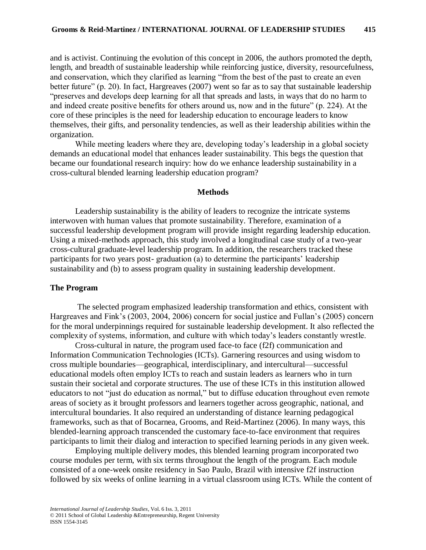and is activist. Continuing the evolution of this concept in 2006, the authors promoted the depth, length, and breadth of sustainable leadership while reinforcing justice, diversity, resourcefulness, and conservation, which they clarified as learning "from the best of the past to create an even better future" (p. 20). In fact, Hargreaves (2007) went so far as to say that sustainable leadership "preserves and develops deep learning for all that spreads and lasts, in ways that do no harm to and indeed create positive benefits for others around us, now and in the future" (p. 224). At the core of these principles is the need for leadership education to encourage leaders to know themselves, their gifts, and personality tendencies, as well as their leadership abilities within the organization.

While meeting leaders where they are, developing today's leadership in a global society demands an educational model that enhances leader sustainability. This begs the question that became our foundational research inquiry: how do we enhance leadership sustainability in a cross-cultural blended learning leadership education program?

## **Methods**

Leadership sustainability is the ability of leaders to recognize the intricate systems interwoven with human values that promote sustainability. Therefore, examination of a successful leadership development program will provide insight regarding leadership education. Using a mixed-methods approach, this study involved a longitudinal case study of a two-year cross-cultural graduate-level leadership program. In addition, the researchers tracked these participants for two years post- graduation (a) to determine the participants" leadership sustainability and (b) to assess program quality in sustaining leadership development.

#### **The Program**

The selected program emphasized leadership transformation and ethics, consistent with Hargreaves and Fink"s (2003, 2004, 2006) concern for social justice and Fullan"s (2005) concern for the moral underpinnings required for sustainable leadership development. It also reflected the complexity of systems, information, and culture with which today"s leaders constantly wrestle.

Cross-cultural in nature, the program used face-to face (f2f) communication and Information Communication Technologies (ICTs). Garnering resources and using wisdom to cross multiple boundaries—geographical, interdisciplinary, and intercultural—successful educational models often employ ICTs to reach and sustain leaders as learners who in turn sustain their societal and corporate structures. The use of these ICTs in this institution allowed educators to not "just do education as normal," but to diffuse education throughout even remote areas of society as it brought professors and learners together across geographic, national, and intercultural boundaries. It also required an understanding of distance learning pedagogical frameworks, such as that of Bocarnea, Grooms, and Reid-Martinez (2006). In many ways, this blended-learning approach transcended the customary face-to-face environment that requires participants to limit their dialog and interaction to specified learning periods in any given week.

Employing multiple delivery modes, this blended learning program incorporated two course modules per term, with six terms throughout the length of the program. Each module consisted of a one-week onsite residency in Sao Paulo, Brazil with intensive f2f instruction followed by six weeks of online learning in a virtual classroom using ICTs. While the content of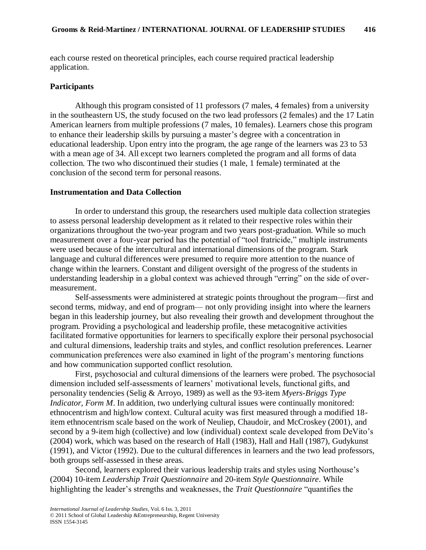each course rested on theoretical principles, each course required practical leadership application.

## **Participants**

Although this program consisted of 11 professors (7 males, 4 females) from a university in the southeastern US, the study focused on the two lead professors (2 females) and the 17 Latin American learners from multiple professions (7 males, 10 females). Learners chose this program to enhance their leadership skills by pursuing a master"s degree with a concentration in educational leadership. Upon entry into the program, the age range of the learners was 23 to 53 with a mean age of 34. All except two learners completed the program and all forms of data collection. The two who discontinued their studies (1 male, 1 female) terminated at the conclusion of the second term for personal reasons.

## **Instrumentation and Data Collection**

In order to understand this group, the researchers used multiple data collection strategies to assess personal leadership development as it related to their respective roles within their organizations throughout the two-year program and two years post-graduation. While so much measurement over a four-year period has the potential of "tool fratricide," multiple instruments were used because of the intercultural and international dimensions of the program. Stark language and cultural differences were presumed to require more attention to the nuance of change within the learners. Constant and diligent oversight of the progress of the students in understanding leadership in a global context was achieved through "erring" on the side of overmeasurement.

Self-assessments were administered at strategic points throughout the program—first and second terms, midway, and end of program— not only providing insight into where the learners began in this leadership journey, but also revealing their growth and development throughout the program. Providing a psychological and leadership profile, these metacognitive activities facilitated formative opportunities for learners to specifically explore their personal psychosocial and cultural dimensions, leadership traits and styles, and conflict resolution preferences. Learner communication preferences were also examined in light of the program"s mentoring functions and how communication supported conflict resolution.

First, psychosocial and cultural dimensions of the learners were probed. The psychosocial dimension included self-assessments of learners" motivational levels, functional gifts, and personality tendencies (Selig & Arroyo, 1989) as well as the 93-item *Myers-Briggs Type Indicator, Form M.* In addition, two underlying cultural issues were continually monitored: ethnocentrism and high/low context. Cultural acuity was first measured through a modified 18 item ethnocentrism scale based on the work of Neuliep, Chaudoir, and McCroskey (2001), and second by a 9-item high (collective) and low (individual) context scale developed from DeVito's (2004) work, which was based on the research of Hall (1983), Hall and Hall (1987), Gudykunst (1991), and Victor (1992). Due to the cultural differences in learners and the two lead professors, both groups self-assessed in these areas.

Second, learners explored their various leadership traits and styles using Northouse"s (2004) 10-item *Leadership Trait Questionnaire* and 20-item *Style Questionnaire*. While highlighting the leader"s strengths and weaknesses, the *Trait Questionnaire* "quantifies the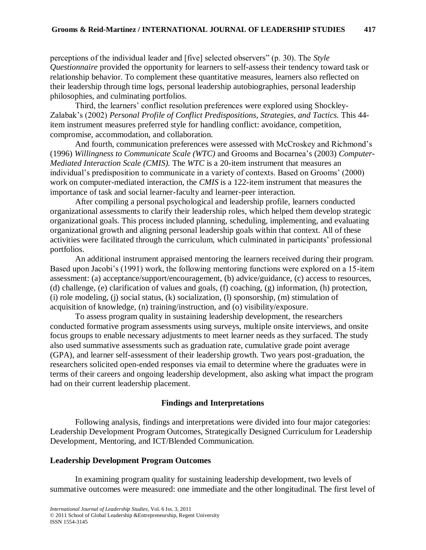perceptions of the individual leader and [five] selected observers" (p. 30). The *Style Questionnaire* provided the opportunity for learners to self-assess their tendency toward task or relationship behavior. To complement these quantitative measures, learners also reflected on their leadership through time logs, personal leadership autobiographies, personal leadership philosophies, and culminating portfolios.

Third, the learners' conflict resolution preferences were explored using Shockley-Zalabak"s (2002) *Personal Profile of Conflict Predispositions, Strategies, and Tactics.* This 44 item instrument measures preferred style for handling conflict: avoidance, competition, compromise, accommodation, and collaboration.

And fourth, communication preferences were assessed with McCroskey and Richmond"s (1996) *Willingness to Communicate Scale (WTC)* and Grooms and Bocarnea"s (2003) *Computer-Mediated Interaction Scale (CMIS).* The *WTC* is a 20-item instrument that measures an individual"s predisposition to communicate in a variety of contexts. Based on Grooms" (2000) work on computer-mediated interaction, the *CMIS* is a 122-item instrument that measures the importance of task and social learner-faculty and learner-peer interaction.

After compiling a personal psychological and leadership profile, learners conducted organizational assessments to clarify their leadership roles, which helped them develop strategic organizational goals. This process included planning, scheduling, implementing, and evaluating organizational growth and aligning personal leadership goals within that context. All of these activities were facilitated through the curriculum, which culminated in participants" professional portfolios.

An additional instrument appraised mentoring the learners received during their program. Based upon Jacobi's (1991) work, the following mentoring functions were explored on a 15-item assessment: (a) acceptance/support/encouragement, (b) advice/guidance, (c) access to resources, (d) challenge, (e) clarification of values and goals, (f) coaching, (g) information, (h) protection, (i) role modeling, (j) social status, (k) socialization, (l) sponsorship, (m) stimulation of acquisition of knowledge, (n) training/instruction, and (o) visibility/exposure.

To assess program quality in sustaining leadership development, the researchers conducted formative program assessments using surveys, multiple onsite interviews, and onsite focus groups to enable necessary adjustments to meet learner needs as they surfaced. The study also used summative assessments such as graduation rate, cumulative grade point average (GPA), and learner self-assessment of their leadership growth. Two years post-graduation, the researchers solicited open-ended responses via email to determine where the graduates were in terms of their careers and ongoing leadership development, also asking what impact the program had on their current leadership placement.

## **Findings and Interpretations**

Following analysis, findings and interpretations were divided into four major categories: Leadership Development Program Outcomes, Strategically Designed Curriculum for Leadership Development, Mentoring, and ICT/Blended Communication.

## **Leadership Development Program Outcomes**

In examining program quality for sustaining leadership development, two levels of summative outcomes were measured: one immediate and the other longitudinal. The first level of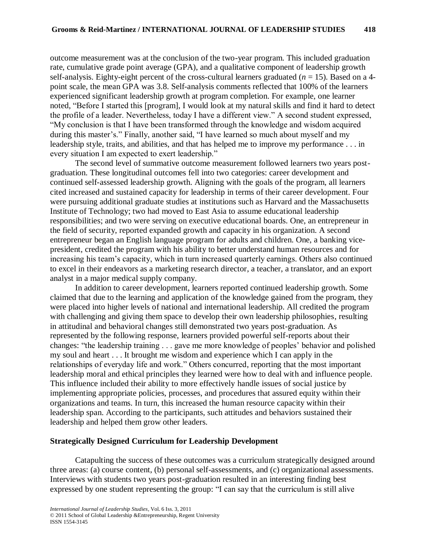outcome measurement was at the conclusion of the two-year program. This included graduation rate, cumulative grade point average (GPA), and a qualitative component of leadership growth self-analysis. Eighty-eight percent of the cross-cultural learners graduated ( $n = 15$ ). Based on a 4point scale, the mean GPA was 3.8. Self-analysis comments reflected that 100% of the learners experienced significant leadership growth at program completion. For example, one learner noted, "Before I started this [program], I would look at my natural skills and find it hard to detect the profile of a leader. Nevertheless, today I have a different view." A second student expressed, "My conclusion is that I have been transformed through the knowledge and wisdom acquired during this master"s." Finally, another said, "I have learned so much about myself and my leadership style, traits, and abilities, and that has helped me to improve my performance . . . in every situation I am expected to exert leadership."

The second level of summative outcome measurement followed learners two years postgraduation. These longitudinal outcomes fell into two categories: career development and continued self-assessed leadership growth. Aligning with the goals of the program, all learners cited increased and sustained capacity for leadership in terms of their career development. Four were pursuing additional graduate studies at institutions such as Harvard and the Massachusetts Institute of Technology; two had moved to East Asia to assume educational leadership responsibilities; and two were serving on executive educational boards. One, an entrepreneur in the field of security, reported expanded growth and capacity in his organization. A second entrepreneur began an English language program for adults and children. One, a banking vicepresident, credited the program with his ability to better understand human resources and for increasing his team"s capacity, which in turn increased quarterly earnings. Others also continued to excel in their endeavors as a marketing research director, a teacher, a translator, and an export analyst in a major medical supply company.

In addition to career development, learners reported continued leadership growth. Some claimed that due to the learning and application of the knowledge gained from the program, they were placed into higher levels of national and international leadership. All credited the program with challenging and giving them space to develop their own leadership philosophies, resulting in attitudinal and behavioral changes still demonstrated two years post-graduation. As represented by the following response, learners provided powerful self-reports about their changes: "the leadership training . . . gave me more knowledge of peoples" behavior and polished my soul and heart . . . It brought me wisdom and experience which I can apply in the relationships of everyday life and work." Others concurred, reporting that the most important leadership moral and ethical principles they learned were how to deal with and influence people. This influence included their ability to more effectively handle issues of social justice by implementing appropriate policies, processes, and procedures that assured equity within their organizations and teams. In turn, this increased the human resource capacity within their leadership span. According to the participants, such attitudes and behaviors sustained their leadership and helped them grow other leaders.

# **Strategically Designed Curriculum for Leadership Development**

Catapulting the success of these outcomes was a curriculum strategically designed around three areas: (a) course content, (b) personal self-assessments, and (c) organizational assessments. Interviews with students two years post-graduation resulted in an interesting finding best expressed by one student representing the group: "I can say that the curriculum is still alive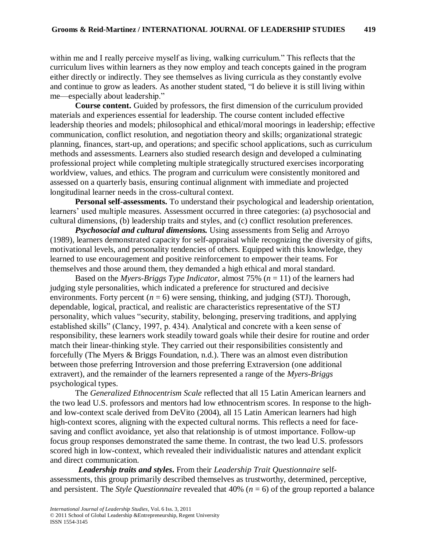within me and I really perceive myself as living, walking curriculum." This reflects that the curriculum lives within learners as they now employ and teach concepts gained in the program either directly or indirectly. They see themselves as living curricula as they constantly evolve and continue to grow as leaders. As another student stated, "I do believe it is still living within me—especially about leadership."

**Course content.** Guided by professors, the first dimension of the curriculum provided materials and experiences essential for leadership. The course content included effective leadership theories and models; philosophical and ethical/moral moorings in leadership; effective communication, conflict resolution, and negotiation theory and skills; organizational strategic planning, finances, start-up, and operations; and specific school applications, such as curriculum methods and assessments. Learners also studied research design and developed a culminating professional project while completing multiple strategically structured exercises incorporating worldview, values, and ethics. The program and curriculum were consistently monitored and assessed on a quarterly basis, ensuring continual alignment with immediate and projected longitudinal learner needs in the cross-cultural context.

**Personal self-assessments.** To understand their psychological and leadership orientation, learners' used multiple measures. Assessment occurred in three categories: (a) psychosocial and cultural dimensions, (b) leadership traits and styles, and (c) conflict resolution preferences.

*Psychosocial and cultural dimensions.* Using assessments from Selig and Arroyo (1989), learners demonstrated capacity for self-appraisal while recognizing the diversity of gifts, motivational levels, and personality tendencies of others. Equipped with this knowledge, they learned to use encouragement and positive reinforcement to empower their teams. For themselves and those around them, they demanded a high ethical and moral standard.

Based on the *Myers-Briggs Type Indicator*, almost 75% (*n* = 11) of the learners had judging style personalities, which indicated a preference for structured and decisive environments. Forty percent  $(n = 6)$  were sensing, thinking, and judging (STJ). Thorough, dependable, logical, practical, and realistic are characteristics representative of the STJ personality, which values "security, stability, belonging, preserving traditions, and applying established skills" (Clancy, 1997, p. 434). Analytical and concrete with a keen sense of responsibility, these learners work steadily toward goals while their desire for routine and order match their linear-thinking style. They carried out their responsibilities consistently and forcefully (The Myers & Briggs Foundation, n.d.). There was an almost even distribution between those preferring Introversion and those preferring Extraversion (one additional extravert), and the remainder of the learners represented a range of the *Myers-Briggs* psychological types.

The *Generalized Ethnocentrism Scale* reflected that all 15 Latin American learners and the two lead U.S. professors and mentors had low ethnocentrism scores. In response to the highand low-context scale derived from DeVito (2004), all 15 Latin American learners had high high-context scores, aligning with the expected cultural norms. This reflects a need for facesaving and conflict avoidance, yet also that relationship is of utmost importance. Follow-up focus group responses demonstrated the same theme. In contrast, the two lead U.S. professors scored high in low-context, which revealed their individualistic natures and attendant explicit and direct communication.

*Leadership traits and styles***.** From their *Leadership Trait Questionnaire* selfassessments, this group primarily described themselves as trustworthy, determined, perceptive, and persistent. The *Style Questionnaire* revealed that 40% (*n* = 6) of the group reported a balance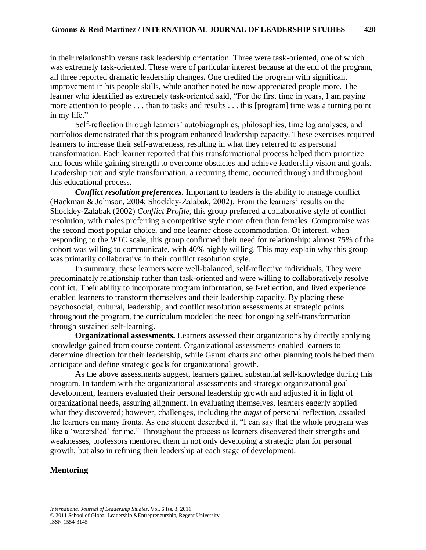in their relationship versus task leadership orientation. Three were task-oriented, one of which was extremely task-oriented. These were of particular interest because at the end of the program, all three reported dramatic leadership changes. One credited the program with significant improvement in his people skills, while another noted he now appreciated people more. The learner who identified as extremely task-oriented said, "For the first time in years, I am paying more attention to people . . . than to tasks and results . . . this [program] time was a turning point in my life."

Self-reflection through learners" autobiographies, philosophies, time log analyses, and portfolios demonstrated that this program enhanced leadership capacity. These exercises required learners to increase their self-awareness, resulting in what they referred to as personal transformation. Each learner reported that this transformational process helped them prioritize and focus while gaining strength to overcome obstacles and achieve leadership vision and goals. Leadership trait and style transformation, a recurring theme, occurred through and throughout this educational process.

*Conflict resolution preferences***.** Important to leaders is the ability to manage conflict (Hackman & Johnson, 2004; Shockley-Zalabak, 2002). From the learners' results on the Shockley-Zalabak (2002) *Conflict Profile,* this group preferred a collaborative style of conflict resolution, with males preferring a competitive style more often than females. Compromise was the second most popular choice, and one learner chose accommodation. Of interest, when responding to the *WTC* scale, this group confirmed their need for relationship: almost 75% of the cohort was willing to communicate, with 40% highly willing. This may explain why this group was primarily collaborative in their conflict resolution style.

In summary, these learners were well-balanced, self-reflective individuals. They were predominately relationship rather than task-oriented and were willing to collaboratively resolve conflict. Their ability to incorporate program information, self-reflection, and lived experience enabled learners to transform themselves and their leadership capacity. By placing these psychosocial, cultural, leadership, and conflict resolution assessments at strategic points throughout the program, the curriculum modeled the need for ongoing self-transformation through sustained self-learning.

**Organizational assessments.** Learners assessed their organizations by directly applying knowledge gained from course content. Organizational assessments enabled learners to determine direction for their leadership, while Gannt charts and other planning tools helped them anticipate and define strategic goals for organizational growth.

As the above assessments suggest, learners gained substantial self-knowledge during this program. In tandem with the organizational assessments and strategic organizational goal development, learners evaluated their personal leadership growth and adjusted it in light of organizational needs, assuring alignment. In evaluating themselves, learners eagerly applied what they discovered; however, challenges, including the *angst* of personal reflection, assailed the learners on many fronts. As one student described it, "I can say that the whole program was like a 'watershed' for me." Throughout the process as learners discovered their strengths and weaknesses, professors mentored them in not only developing a strategic plan for personal growth, but also in refining their leadership at each stage of development.

## **Mentoring**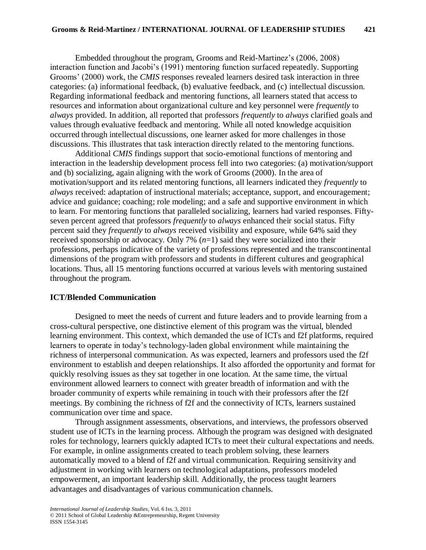Embedded throughout the program, Grooms and Reid-Martinez"s (2006, 2008) interaction function and Jacobi"s (1991) mentoring function surfaced repeatedly. Supporting Grooms" (2000) work, the *CMIS* responses revealed learners desired task interaction in three categories: (a) informational feedback, (b) evaluative feedback, and (c) intellectual discussion. Regarding informational feedback and mentoring functions, all learners stated that access to resources and information about organizational culture and key personnel were *frequently* to *always* provided. In addition, all reported that professors *frequently* to *always* clarified goals and values through evaluative feedback and mentoring. While all noted knowledge acquisition occurred through intellectual discussions, one learner asked for more challenges in those discussions. This illustrates that task interaction directly related to the mentoring functions.

Additional *CMIS* findings support that socio-emotional functions of mentoring and interaction in the leadership development process fell into two categories: (a) motivation/support and (b) socializing, again aligning with the work of Grooms (2000). In the area of motivation/support and its related mentoring functions, all learners indicated they *frequently* to *always* received: adaptation of instructional materials; acceptance, support, and encouragement; advice and guidance; coaching; role modeling; and a safe and supportive environment in which to learn. For mentoring functions that paralleled socializing, learners had varied responses. Fiftyseven percent agreed that professors *frequently* to *always* enhanced their social status. Fifty percent said they *frequently* to *always* received visibility and exposure, while 64% said they received sponsorship or advocacy. Only 7% (*n*=1) said they were socialized into their professions, perhaps indicative of the variety of professions represented and the transcontinental dimensions of the program with professors and students in different cultures and geographical locations. Thus, all 15 mentoring functions occurred at various levels with mentoring sustained throughout the program.

## **ICT/Blended Communication**

Designed to meet the needs of current and future leaders and to provide learning from a cross-cultural perspective, one distinctive element of this program was the virtual, blended learning environment. This context, which demanded the use of ICTs and f2f platforms, required learners to operate in today"s technology-laden global environment while maintaining the richness of interpersonal communication. As was expected, learners and professors used the f2f environment to establish and deepen relationships. It also afforded the opportunity and format for quickly resolving issues as they sat together in one location. At the same time, the virtual environment allowed learners to connect with greater breadth of information and with the broader community of experts while remaining in touch with their professors after the f2f meetings. By combining the richness of f2f and the connectivity of ICTs, learners sustained communication over time and space.

Through assignment assessments, observations, and interviews, the professors observed student use of ICTs in the learning process. Although the program was designed with designated roles for technology, learners quickly adapted ICTs to meet their cultural expectations and needs. For example, in online assignments created to teach problem solving, these learners automatically moved to a blend of f2f and virtual communication. Requiring sensitivity and adjustment in working with learners on technological adaptations, professors modeled empowerment, an important leadership skill. Additionally, the process taught learners advantages and disadvantages of various communication channels.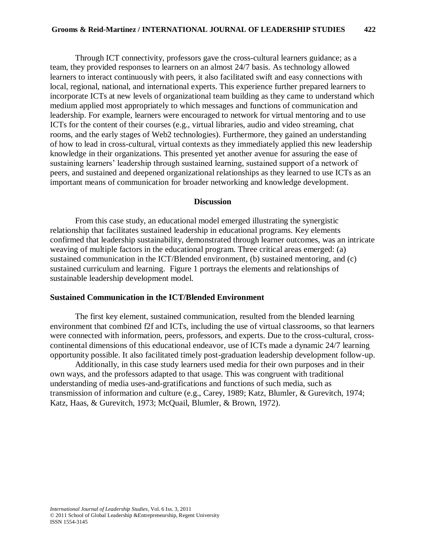Through ICT connectivity, professors gave the cross-cultural learners guidance; as a team, they provided responses to learners on an almost 24/7 basis. As technology allowed learners to interact continuously with peers, it also facilitated swift and easy connections with local, regional, national, and international experts. This experience further prepared learners to incorporate ICTs at new levels of organizational team building as they came to understand which medium applied most appropriately to which messages and functions of communication and leadership. For example, learners were encouraged to network for virtual mentoring and to use ICTs for the content of their courses (e.g., virtual libraries, audio and video streaming, chat rooms, and the early stages of Web2 technologies). Furthermore, they gained an understanding of how to lead in cross-cultural, virtual contexts as they immediately applied this new leadership knowledge in their organizations. This presented yet another avenue for assuring the ease of sustaining learners' leadership through sustained learning, sustained support of a network of peers, and sustained and deepened organizational relationships as they learned to use ICTs as an important means of communication for broader networking and knowledge development.

#### **Discussion**

From this case study, an educational model emerged illustrating the synergistic relationship that facilitates sustained leadership in educational programs. Key elements confirmed that leadership sustainability, demonstrated through learner outcomes, was an intricate weaving of multiple factors in the educational program. Three critical areas emerged: (a) sustained communication in the ICT/Blended environment, (b) sustained mentoring, and (c) sustained curriculum and learning. Figure 1 portrays the elements and relationships of sustainable leadership development model.

## **Sustained Communication in the ICT/Blended Environment**

The first key element, sustained communication, resulted from the blended learning environment that combined f2f and ICTs, including the use of virtual classrooms, so that learners were connected with information, peers, professors, and experts. Due to the cross-cultural, crosscontinental dimensions of this educational endeavor, use of ICTs made a dynamic 24/7 learning opportunity possible. It also facilitated timely post-graduation leadership development follow-up.

Additionally, in this case study learners used media for their own purposes and in their own ways, and the professors adapted to that usage. This was congruent with traditional understanding of media uses-and-gratifications and functions of such media, such as transmission of information and culture (e.g., Carey, 1989; Katz, Blumler, & Gurevitch, 1974; Katz, Haas, & Gurevitch, 1973; McQuail, Blumler, & Brown, 1972).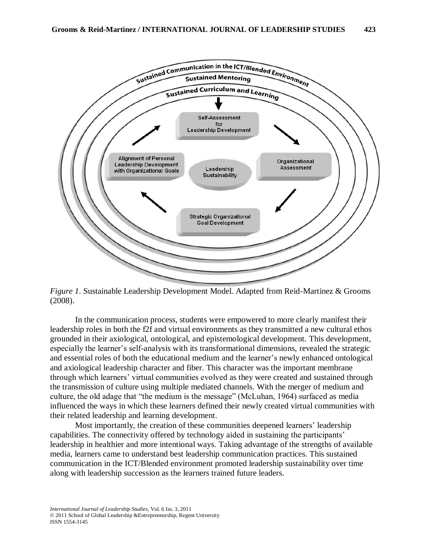

*Figure 1*. Sustainable Leadership Development Model. Adapted from Reid-Martinez & Grooms (2008).

In the communication process, students were empowered to more clearly manifest their leadership roles in both the f2f and virtual environments as they transmitted a new cultural ethos grounded in their axiological, ontological, and epistemological development. This development, especially the learner"s self-analysis with its transformational dimensions, revealed the strategic and essential roles of both the educational medium and the learner's newly enhanced ontological and axiological leadership character and fiber. This character was the important membrane through which learners" virtual communities evolved as they were created and sustained through the transmission of culture using multiple mediated channels. With the merger of medium and culture, the old adage that "the medium is the message" (McLuhan, 1964) surfaced as media influenced the ways in which these learners defined their newly created virtual communities with their related leadership and learning development.

Most importantly, the creation of these communities deepened learners' leadership capabilities. The connectivity offered by technology aided in sustaining the participants' leadership in healthier and more intentional ways. Taking advantage of the strengths of available media, learners came to understand best leadership communication practices. This sustained communication in the ICT/Blended environment promoted leadership sustainability over time along with leadership succession as the learners trained future leaders.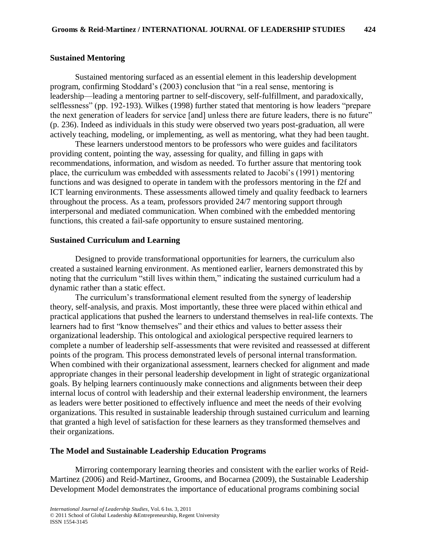# **Sustained Mentoring**

Sustained mentoring surfaced as an essential element in this leadership development program, confirming Stoddard"s (2003) conclusion that "in a real sense, mentoring is leadership—leading a mentoring partner to self-discovery, self-fulfillment, and paradoxically, selflessness" (pp. 192-193). Wilkes (1998) further stated that mentoring is how leaders "prepare the next generation of leaders for service [and] unless there are future leaders, there is no future" (p. 236). Indeed as individuals in this study were observed two years post-graduation, all were actively teaching, modeling, or implementing, as well as mentoring, what they had been taught.

These learners understood mentors to be professors who were guides and facilitators providing content, pointing the way, assessing for quality, and filling in gaps with recommendations, information, and wisdom as needed. To further assure that mentoring took place, the curriculum was embedded with assessments related to Jacobi"s (1991) mentoring functions and was designed to operate in tandem with the professors mentoring in the f2f and ICT learning environments. These assessments allowed timely and quality feedback to learners throughout the process. As a team, professors provided 24/7 mentoring support through interpersonal and mediated communication. When combined with the embedded mentoring functions, this created a fail-safe opportunity to ensure sustained mentoring.

## **Sustained Curriculum and Learning**

Designed to provide transformational opportunities for learners, the curriculum also created a sustained learning environment. As mentioned earlier, learners demonstrated this by noting that the curriculum "still lives within them," indicating the sustained curriculum had a dynamic rather than a static effect.

The curriculum's transformational element resulted from the synergy of leadership theory, self-analysis, and praxis. Most importantly, these three were placed within ethical and practical applications that pushed the learners to understand themselves in real-life contexts. The learners had to first "know themselves" and their ethics and values to better assess their organizational leadership. This ontological and axiological perspective required learners to complete a number of leadership self-assessments that were revisited and reassessed at different points of the program. This process demonstrated levels of personal internal transformation. When combined with their organizational assessment, learners checked for alignment and made appropriate changes in their personal leadership development in light of strategic organizational goals. By helping learners continuously make connections and alignments between their deep internal locus of control with leadership and their external leadership environment, the learners as leaders were better positioned to effectively influence and meet the needs of their evolving organizations. This resulted in sustainable leadership through sustained curriculum and learning that granted a high level of satisfaction for these learners as they transformed themselves and their organizations.

## **The Model and Sustainable Leadership Education Programs**

Mirroring contemporary learning theories and consistent with the earlier works of Reid-Martinez (2006) and Reid-Martinez, Grooms, and Bocarnea (2009), the Sustainable Leadership Development Model demonstrates the importance of educational programs combining social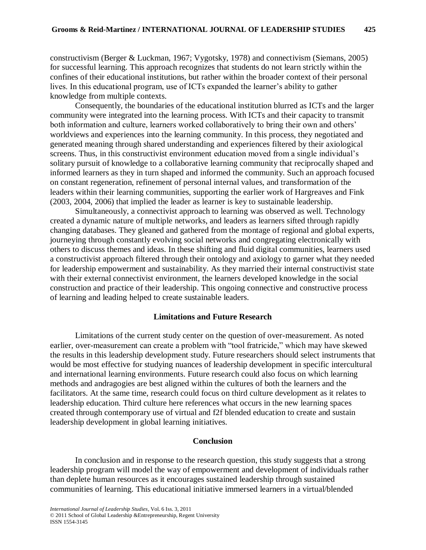constructivism (Berger & Luckman, 1967; Vygotsky, 1978) and connectivism (Siemans, 2005) for successful learning. This approach recognizes that students do not learn strictly within the confines of their educational institutions, but rather within the broader context of their personal lives. In this educational program, use of ICTs expanded the learner"s ability to gather knowledge from multiple contexts.

Consequently, the boundaries of the educational institution blurred as ICTs and the larger community were integrated into the learning process. With ICTs and their capacity to transmit both information and culture, learners worked collaboratively to bring their own and others' worldviews and experiences into the learning community. In this process, they negotiated and generated meaning through shared understanding and experiences filtered by their axiological screens. Thus, in this constructivist environment education moved from a single individual's solitary pursuit of knowledge to a collaborative learning community that reciprocally shaped and informed learners as they in turn shaped and informed the community. Such an approach focused on constant regeneration, refinement of personal internal values, and transformation of the leaders within their learning communities, supporting the earlier work of Hargreaves and Fink (2003, 2004, 2006) that implied the leader as learner is key to sustainable leadership.

Simultaneously, a connectivist approach to learning was observed as well. Technology created a dynamic nature of multiple networks, and leaders as learners sifted through rapidly changing databases. They gleaned and gathered from the montage of regional and global experts, journeying through constantly evolving social networks and congregating electronically with others to discuss themes and ideas. In these shifting and fluid digital communities, learners used a constructivist approach filtered through their ontology and axiology to garner what they needed for leadership empowerment and sustainability. As they married their internal constructivist state with their external connectivist environment, the learners developed knowledge in the social construction and practice of their leadership. This ongoing connective and constructive process of learning and leading helped to create sustainable leaders.

## **Limitations and Future Research**

Limitations of the current study center on the question of over-measurement. As noted earlier, over-measurement can create a problem with "tool fratricide," which may have skewed the results in this leadership development study. Future researchers should select instruments that would be most effective for studying nuances of leadership development in specific intercultural and international learning environments. Future research could also focus on which learning methods and andragogies are best aligned within the cultures of both the learners and the facilitators. At the same time, research could focus on third culture development as it relates to leadership education. Third culture here references what occurs in the new learning spaces created through contemporary use of virtual and f2f blended education to create and sustain leadership development in global learning initiatives.

### **Conclusion**

In conclusion and in response to the research question, this study suggests that a strong leadership program will model the way of empowerment and development of individuals rather than deplete human resources as it encourages sustained leadership through sustained communities of learning. This educational initiative immersed learners in a virtual/blended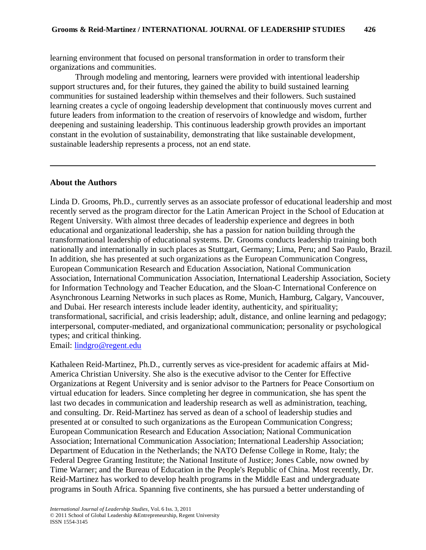learning environment that focused on personal transformation in order to transform their organizations and communities.

Through modeling and mentoring, learners were provided with intentional leadership support structures and, for their futures, they gained the ability to build sustained learning communities for sustained leadership within themselves and their followers. Such sustained learning creates a cycle of ongoing leadership development that continuously moves current and future leaders from information to the creation of reservoirs of knowledge and wisdom, further deepening and sustaining leadership. This continuous leadership growth provides an important constant in the evolution of sustainability, demonstrating that like sustainable development, sustainable leadership represents a process, not an end state.

## **About the Authors**

Linda D. Grooms, Ph.D., currently serves as an associate professor of educational leadership and most recently served as the program director for the Latin American Project in the School of Education at Regent University. With almost three decades of leadership experience and degrees in both educational and organizational leadership, she has a passion for nation building through the transformational leadership of educational systems. Dr. Grooms conducts leadership training both nationally and internationally in such places as Stuttgart, Germany; Lima, Peru; and Sao Paulo, Brazil. In addition, she has presented at such organizations as the European Communication Congress, European Communication Research and Education Association, National Communication Association, International Communication Association, International Leadership Association, Society for Information Technology and Teacher Education, and the Sloan-C International Conference on Asynchronous Learning Networks in such places as Rome, Munich, Hamburg, Calgary, Vancouver, and Dubai. Her research interests include leader identity, authenticity, and spirituality; transformational, sacrificial, and crisis leadership; adult, distance, and online learning and pedagogy; interpersonal, computer-mediated, and organizational communication; personality or psychological types; and critical thinking.

Email: [lindgro@regent.edu](mailto:lindgro@regent.edu)

Kathaleen Reid-Martinez, Ph.D., currently serves as vice-president for academic affairs at Mid-America Christian University. She also is the executive advisor to the Center for Effective Organizations at Regent University and is senior advisor to the Partners for Peace Consortium on virtual education for leaders. Since completing her degree in communication, she has spent the last two decades in communication and leadership research as well as administration, teaching, and consulting. Dr. Reid-Martinez has served as dean of a school of leadership studies and presented at or consulted to such organizations as the European Communication Congress; European Communication Research and Education Association; National Communication Association; International Communication Association; International Leadership Association; Department of Education in the Netherlands; the NATO Defense College in Rome, Italy; the Federal Degree Granting Institute; the National Institute of Justice; Jones Cable, now owned by Time Warner; and the Bureau of Education in the People's Republic of China. Most recently, Dr. Reid-Martinez has worked to develop health programs in the Middle East and undergraduate programs in South Africa. Spanning five continents, she has pursued a better understanding of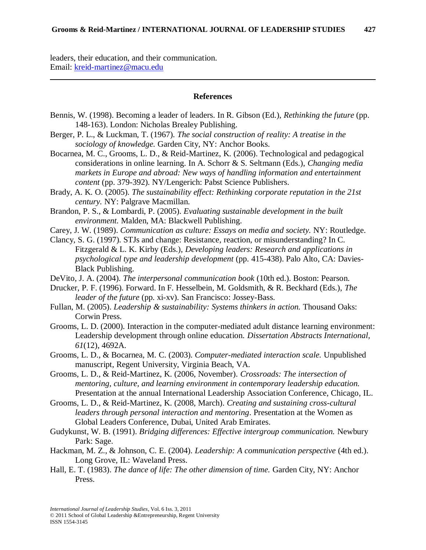leaders, their education, and their communication. Email: [kreid-martinez@macu.edu](mailto:kreid-martinez@macu.edu)

# **References**

- Bennis, W. (1998). Becoming a leader of leaders. In R. Gibson (Ed.), *Rethinking the future* (pp. 148-163). London: Nicholas Brealey Publishing.
- Berger, P. L., & Luckman, T. (1967). *The social construction of reality: A treatise in the sociology of knowledge.* Garden City, NY: Anchor Books.
- Bocarnea, M. C., Grooms, L. D., & Reid-Martinez, K. (2006). Technological and pedagogical considerations in online learning. In A. Schorr & S. Seltmann (Eds.), *Changing media markets in Europe and abroad: New ways of handling information and entertainment content* (pp. 379-392). NY/Lengerich: Pabst Science Publishers.
- Brady, A. K. O. (2005). *The sustainability effect: Rethinking corporate reputation in the 21st century.* NY: Palgrave Macmillan.
- Brandon, P. S., & Lombardi, P. (2005). *Evaluating sustainable development in the built environment.* Malden, MA: Blackwell Publishing.
- Carey, J. W. (1989). *Communication as culture: Essays on media and society.* NY: Routledge.
- Clancy, S. G. (1997). STJs and change: Resistance, reaction, or misunderstanding? In C. Fitzgerald & L. K. Kirby (Eds.), *Developing leaders: Research and applications in psychological type and leadership development* (pp. 415-438). Palo Alto, CA: Davies-Black Publishing.
- DeVito, J. A. (2004). *The interpersonal communication book* (10th ed.). Boston: Pearson.
- Drucker, P. F. (1996). Forward. In F. Hesselbein, M. Goldsmith, & R. Beckhard (Eds.), *The leader of the future* (pp. xi-xv). San Francisco: Jossey-Bass.
- Fullan, M. (2005). *Leadership & sustainability: Systems thinkers in action.* Thousand Oaks: Corwin Press.
- Grooms, L. D. (2000). Interaction in the computer-mediated adult distance learning environment: Leadership development through online education. *Dissertation Abstracts International, 61*(12), 4692A.
- Grooms, L. D., & Bocarnea, M. C. (2003)*. Computer-mediated interaction scale.* Unpublished manuscript, Regent University, Virginia Beach, VA.
- Grooms, L. D., & Reid-Martinez, K. (2006, November)*. Crossroads: The intersection of mentoring, culture, and learning environment in contemporary leadership education.* Presentation at the annual International Leadership Association Conference, Chicago, IL.
- Grooms, L. D., & Reid-Martinez, K. (2008, March). *Creating and sustaining cross-cultural leaders through personal interaction and mentoring*. Presentation at the Women as Global Leaders Conference, Dubai, United Arab Emirates.
- Gudykunst, W. B. (1991). *Bridging differences: Effective intergroup communication.* Newbury Park: Sage.
- Hackman, M. Z., & Johnson, C. E. (2004). *Leadership: A communication perspective* (4th ed.). Long Grove, IL: Waveland Press.
- Hall, E. T. (1983). *The dance of life: The other dimension of time.* Garden City, NY: Anchor Press.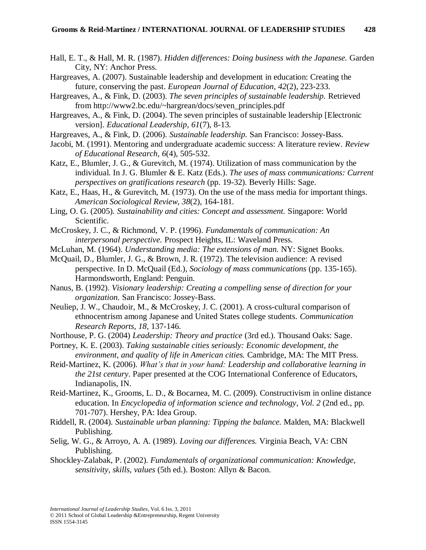- Hall, E. T., & Hall, M. R. (1987). *Hidden differences: Doing business with the Japanese.* Garden City, NY: Anchor Press.
- Hargreaves, A. (2007). Sustainable leadership and development in education: Creating the future, conserving the past. *European Journal of Education*, *42*(2), 223-233.
- Hargreaves, A., & Fink, D. (2003). *The seven principles of sustainable leadership.* Retrieved from http://www2.bc.edu/~hargrean/docs/seven\_principles.pdf
- Hargreaves, A., & Fink, D. (2004). The seven principles of sustainable leadership [Electronic version]. *Educational Leadership*, *61*(7), 8-13.
- Hargreaves, A., & Fink, D. (2006). *Sustainable leadership.* San Francisco: Jossey-Bass.
- Jacobi, M. (1991). Mentoring and undergraduate academic success: A literature review. *Review of Educational Research, 6*(4), 505-532.
- Katz, E., Blumler, J. G., & Gurevitch, M. (1974). Utilization of mass communication by the individual. In J. G. Blumler & E. Katz (Eds.). *The uses of mass communications: Current perspectives on gratifications research* (pp. 19-32). Beverly Hills: Sage.
- Katz, E., Haas, H., & Gurevitch, M. (1973). On the use of the mass media for important things. *American Sociological Review*, *38*(2), 164-181.
- Ling, O. G. (2005). *Sustainability and cities: Concept and assessment.* Singapore: World Scientific.
- McCroskey, J. C., & Richmond, V. P. (1996). *Fundamentals of communication: An interpersonal perspective.* Prospect Heights, IL: Waveland Press.
- McLuhan, M. (1964). *Understanding media: The extensions of man.* NY: Signet Books.
- McQuail, D., Blumler, J. G., & Brown, J. R. (1972). The television audience: A revised perspective. In D. McQuail (Ed.), *Sociology of mass communications* (pp. 135-165). Harmondsworth, England: Penguin.
- Nanus, B. (1992). *Visionary leadership: Creating a compelling sense of direction for your organization.* San Francisco: Jossey-Bass.
- Neuliep, J. W., Chaudoir, M., & McCroskey, J. C. (2001). A cross-cultural comparison of ethnocentrism among Japanese and United States college students. *Communication Research Reports, 18*, 137-146.
- Northouse, P. G. (2004) *Leadership: Theory and practice* (3rd ed.). Thousand Oaks: Sage.
- Portney, K. E. (2003). *Taking sustainable cities seriously: Economic development, the environment, and quality of life in American cities.* Cambridge, MA: The MIT Press.
- Reid-Martinez, K. (2006). *What's that in your hand: Leadership and collaborative learning in the 21st century*. Paper presented at the COG International Conference of Educators, Indianapolis, IN.
- Reid-Martinez, K., Grooms, L. D., & Bocarnea, M. C. (2009). Constructivism in online distance education. In *Encyclopedia of information science and technology, Vol. 2* (2nd ed., pp. 701-707). Hershey, PA: Idea Group.
- Riddell, R. (2004). *Sustainable urban planning: Tipping the balance.* Malden, MA: Blackwell Publishing.
- Selig, W. G., & Arroyo, A. A. (1989). *Loving our differences.* Virginia Beach, VA: CBN Publishing.
- Shockley-Zalabak, P. (2002). *Fundamentals of organizational communication: Knowledge, sensitivity, skills, values* (5th ed.). Boston: Allyn & Bacon.